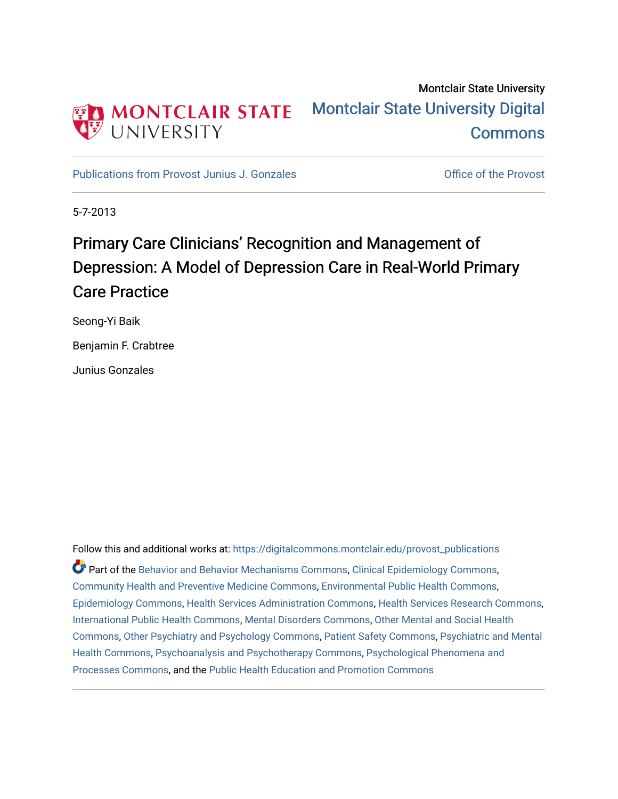

# Montclair State University [Montclair State University Digital](https://digitalcommons.montclair.edu/)  **Commons**

[Publications from Provost Junius J. Gonzales](https://digitalcommons.montclair.edu/provost_publications) **Constanting Constanting Constanting Constanting Constanting Constanting Constanting Constanting Constanting Constanting Constanting Constanting Constanting Constanting Constant** 

5-7-2013

# Primary Care Clinicians' Recognition and Management of Depression: A Model of Depression Care in Real-World Primary Care Practice

Seong-Yi Baik Benjamin F. Crabtree Junius Gonzales

Follow this and additional works at: [https://digitalcommons.montclair.edu/provost\\_publications](https://digitalcommons.montclair.edu/provost_publications?utm_source=digitalcommons.montclair.edu%2Fprovost_publications%2F8&utm_medium=PDF&utm_campaign=PDFCoverPages)  Part of the [Behavior and Behavior Mechanisms Commons,](http://network.bepress.com/hgg/discipline/963?utm_source=digitalcommons.montclair.edu%2Fprovost_publications%2F8&utm_medium=PDF&utm_campaign=PDFCoverPages) [Clinical Epidemiology Commons,](http://network.bepress.com/hgg/discipline/815?utm_source=digitalcommons.montclair.edu%2Fprovost_publications%2F8&utm_medium=PDF&utm_campaign=PDFCoverPages) [Community Health and Preventive Medicine Commons](http://network.bepress.com/hgg/discipline/744?utm_source=digitalcommons.montclair.edu%2Fprovost_publications%2F8&utm_medium=PDF&utm_campaign=PDFCoverPages), [Environmental Public Health Commons](http://network.bepress.com/hgg/discipline/739?utm_source=digitalcommons.montclair.edu%2Fprovost_publications%2F8&utm_medium=PDF&utm_campaign=PDFCoverPages), [Epidemiology Commons,](http://network.bepress.com/hgg/discipline/740?utm_source=digitalcommons.montclair.edu%2Fprovost_publications%2F8&utm_medium=PDF&utm_campaign=PDFCoverPages) [Health Services Administration Commons,](http://network.bepress.com/hgg/discipline/747?utm_source=digitalcommons.montclair.edu%2Fprovost_publications%2F8&utm_medium=PDF&utm_campaign=PDFCoverPages) [Health Services Research Commons,](http://network.bepress.com/hgg/discipline/816?utm_source=digitalcommons.montclair.edu%2Fprovost_publications%2F8&utm_medium=PDF&utm_campaign=PDFCoverPages) [International Public Health Commons](http://network.bepress.com/hgg/discipline/746?utm_source=digitalcommons.montclair.edu%2Fprovost_publications%2F8&utm_medium=PDF&utm_campaign=PDFCoverPages), [Mental Disorders Commons,](http://network.bepress.com/hgg/discipline/968?utm_source=digitalcommons.montclair.edu%2Fprovost_publications%2F8&utm_medium=PDF&utm_campaign=PDFCoverPages) [Other Mental and Social Health](http://network.bepress.com/hgg/discipline/717?utm_source=digitalcommons.montclair.edu%2Fprovost_publications%2F8&utm_medium=PDF&utm_campaign=PDFCoverPages)  [Commons](http://network.bepress.com/hgg/discipline/717?utm_source=digitalcommons.montclair.edu%2Fprovost_publications%2F8&utm_medium=PDF&utm_campaign=PDFCoverPages), [Other Psychiatry and Psychology Commons,](http://network.bepress.com/hgg/discipline/992?utm_source=digitalcommons.montclair.edu%2Fprovost_publications%2F8&utm_medium=PDF&utm_campaign=PDFCoverPages) [Patient Safety Commons,](http://network.bepress.com/hgg/discipline/1410?utm_source=digitalcommons.montclair.edu%2Fprovost_publications%2F8&utm_medium=PDF&utm_campaign=PDFCoverPages) [Psychiatric and Mental](http://network.bepress.com/hgg/discipline/711?utm_source=digitalcommons.montclair.edu%2Fprovost_publications%2F8&utm_medium=PDF&utm_campaign=PDFCoverPages) [Health Commons,](http://network.bepress.com/hgg/discipline/711?utm_source=digitalcommons.montclair.edu%2Fprovost_publications%2F8&utm_medium=PDF&utm_campaign=PDFCoverPages) [Psychoanalysis and Psychotherapy Commons,](http://network.bepress.com/hgg/discipline/716?utm_source=digitalcommons.montclair.edu%2Fprovost_publications%2F8&utm_medium=PDF&utm_campaign=PDFCoverPages) [Psychological Phenomena and](http://network.bepress.com/hgg/discipline/914?utm_source=digitalcommons.montclair.edu%2Fprovost_publications%2F8&utm_medium=PDF&utm_campaign=PDFCoverPages)  [Processes Commons](http://network.bepress.com/hgg/discipline/914?utm_source=digitalcommons.montclair.edu%2Fprovost_publications%2F8&utm_medium=PDF&utm_campaign=PDFCoverPages), and the [Public Health Education and Promotion Commons](http://network.bepress.com/hgg/discipline/743?utm_source=digitalcommons.montclair.edu%2Fprovost_publications%2F8&utm_medium=PDF&utm_campaign=PDFCoverPages)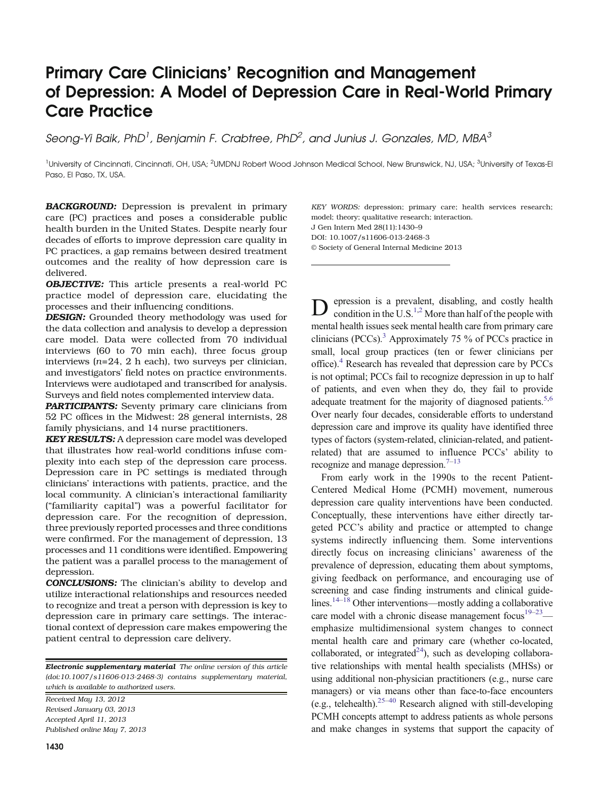# Primary Care Clinicians' Recognition and Management of Depression: A Model of Depression Care in Real-World Primary Care Practice

Seong-Yi Baik, PhD $^{\rm l}$ , Benjamin F. Crabtree, PhD $^{\rm 2}$ , and Junius J. Gonzales, MD, MBA $^{\rm 3}$ 

<sup>1</sup>University of Cincinnati, Cincinnati, OH, USA; <sup>2</sup>UMDNJ Robert Wood Johnson Medical School, New Brunswick, NJ, USA; <sup>3</sup>University of Texas-E Paso, El Paso, TX, USA.

BACKGROUND: Depression is prevalent in primary care (PC) practices and poses a considerable public health burden in the United States. Despite nearly four decades of efforts to improve depression care quality in PC practices, a gap remains between desired treatment outcomes and the reality of how depression care is delivered.

**OBJECTIVE:** This article presents a real-world PC practice model of depression care, elucidating the processes and their influencing conditions.

DESIGN: Grounded theory methodology was used for the data collection and analysis to develop a depression care model. Data were collected from 70 individual interviews (60 to 70 min each), three focus group interviews  $(n=24, 2 h$  each), two surveys per clinician, and investigators' field notes on practice environments. Interviews were audiotaped and transcribed for analysis. Surveys and field notes complemented interview data.

PARTICIPANTS: Seventy primary care clinicians from 52 PC offices in the Midwest: 28 general internists, 28 family physicians, and 14 nurse practitioners.

KEY RESULTS: A depression care model was developed that illustrates how real-world conditions infuse complexity into each step of the depression care process. Depression care in PC settings is mediated through clinicians' interactions with patients, practice, and the local community. A clinician's interactional familiarity ("familiarity capital") was a powerful facilitator for depression care. For the recognition of depression, three previously reported processes and three conditions were confirmed. For the management of depression, 13 processes and 11 conditions were identified. Empowering the patient was a parallel process to the management of depression.

CONCLUSIONS: The clinician's ability to develop and utilize interactional relationships and resources needed to recognize and treat a person with depression is key to depression care in primary care settings. The interactional context of depression care makes empowering the patient central to depression care delivery.

Electronic supplementary material The online version of this article (doi[:10.1007/s11606-013-2468-3](http://dx.doi.org/10.1007/s11606-013-2468-3)) contains supplementary material, which is available to authorized users.

Received May 13, 2012 Revised January 03, 2013 Accepted April 11, 2013 Published online May 7, 2013 KEY WORDS: depression; primary care; health services research; model; theory; qualitative research; interaction. J Gen Intern Med 28(11):1430–9 DOI: 10.1007/s11606-013-2468-3 © Society of General Internal Medicine 2013

 $\bf{D}$  epression is a prevalent, disabling, and costly health condition in the U.S.<sup>1,2</sup> More than half of the people with mental health issues seek mental health care from primary care clinicians (PCCs).[3](#page-8-0) Approximately 75 % of PCCs practice in small, local group practices (ten or fewer clinicians per office).[4](#page-8-0) Research has revealed that depression care by PCCs is not optimal; PCCs fail to recognize depression in up to half of patients, and even when they do, they fail to provide adequate treatment for the majority of diagnosed patients.<sup>5,6</sup> Over nearly four decades, considerable efforts to understand depression care and improve its quality have identified three types of factors (system-related, clinician-related, and patientrelated) that are assumed to influence PCCs' ability to recognize and manage depression. $7-13$  $7-13$ 

From early work in the 1990s to the recent Patient-Centered Medical Home (PCMH) movement, numerous depression care quality interventions have been conducted. Conceptually, these interventions have either directly targeted PCC's ability and practice or attempted to change systems indirectly influencing them. Some interventions directly focus on increasing clinicians' awareness of the prevalence of depression, educating them about symptoms, giving feedback on performance, and encouraging use of screening and case finding instruments and clinical guide-lines.<sup>[14](#page-9-0)–[18](#page-9-0)</sup> Other interventions—mostly adding a collaborative care model with a chronic disease management focus<sup>19–[23](#page-9-0)</sup> emphasize multidimensional system changes to connect mental health care and primary care (whether co-located, collaborated, or integrated<sup>[24](#page-9-0)</sup>), such as developing collaborative relationships with mental health specialists (MHSs) or using additional non-physician practitioners (e.g., nurse care managers) or via means other than face-to-face encounters (e.g., telehealth).[25](#page-9-0)–[40](#page-9-0) Research aligned with still-developing PCMH concepts attempt to address patients as whole persons and make changes in systems that support the capacity of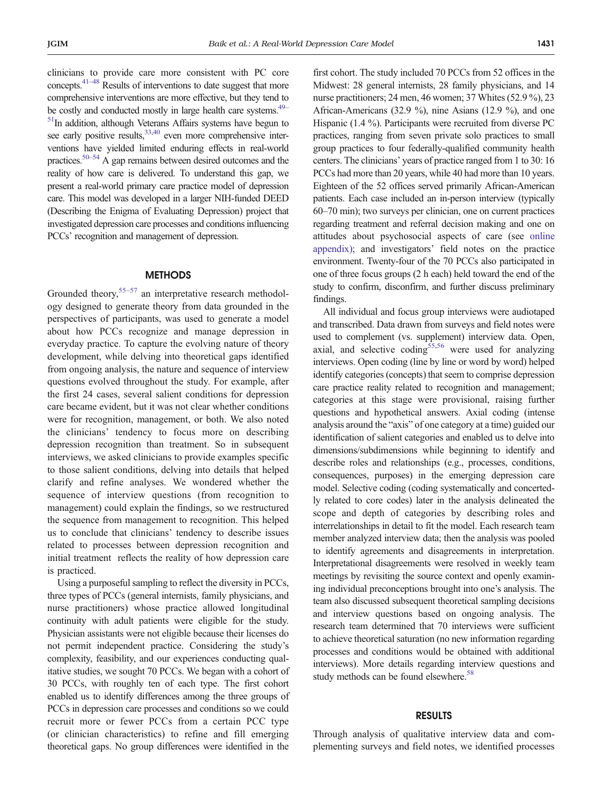clinicians to provide care more consistent with PC core concepts[.41](#page-9-0)–[48](#page-9-0) Results of interventions to date suggest that more comprehensive interventions are more effective, but they tend to be costly and conducted mostly in large health care systems.<sup>49–</sup>  $51$ In addition, although Veterans Affairs systems have begun to see early positive results,  $33,40$  even more comprehensive interventions have yielded limited enduring effects in real-world practices.<sup>50–[54](#page-9-0)</sup> A gap remains between desired outcomes and the reality of how care is delivered. To understand this gap, we present a real-world primary care practice model of depression care. This model was developed in a larger NIH-funded DEED (Describing the Enigma of Evaluating Depression) project that investigated depression care processes and conditions influencing PCCs' recognition and management of depression.

## **METHODS**

Grounded theory,  $55-57$  $55-57$  an interpretative research methodology designed to generate theory from data grounded in the perspectives of participants, was used to generate a model about how PCCs recognize and manage depression in everyday practice. To capture the evolving nature of theory development, while delving into theoretical gaps identified from ongoing analysis, the nature and sequence of interview questions evolved throughout the study. For example, after the first 24 cases, several salient conditions for depression care became evident, but it was not clear whether conditions were for recognition, management, or both. We also noted the clinicians' tendency to focus more on describing depression recognition than treatment. So in subsequent interviews, we asked clinicians to provide examples specific to those salient conditions, delving into details that helped clarify and refine analyses. We wondered whether the sequence of interview questions (from recognition to management) could explain the findings, so we restructured the sequence from management to recognition. This helped us to conclude that clinicians' tendency to describe issues related to processes between depression recognition and initial treatment reflects the reality of how depression care is practiced.

Using a purposeful sampling to reflect the diversity in PCCs, three types of PCCs (general internists, family physicians, and nurse practitioners) whose practice allowed longitudinal continuity with adult patients were eligible for the study. Physician assistants were not eligible because their licenses do not permit independent practice. Considering the study's complexity, feasibility, and our experiences conducting qualitative studies, we sought 70 PCCs. We began with a cohort of 30 PCCs, with roughly ten of each type. The first cohort enabled us to identify differences among the three groups of PCCs in depression care processes and conditions so we could recruit more or fewer PCCs from a certain PCC type (or clinician characteristics) to refine and fill emerging theoretical gaps. No group differences were identified in the

first cohort. The study included 70 PCCs from 52 offices in the Midwest: 28 general internists, 28 family physicians, and 14 nurse practitioners; 24 men, 46 women; 37 Whites (52.9 %), 23 African-Americans (32.9 %), nine Asians (12.9 %), and one Hispanic (1.4 %). Participants were recruited from diverse PC practices, ranging from seven private solo practices to small group practices to four federally-qualified community health centers. The clinicians' years of practice ranged from 1 to 30: 16 PCCs had more than 20 years, while 40 had more than 10 years. Eighteen of the 52 offices served primarily African-American patients. Each case included an in-person interview (typically 60–70 min); two surveys per clinician, one on current practices regarding treatment and referral decision making and one on attitudes about psychosocial aspects of care (see online appendix); and investigators' field notes on the practice environment. Twenty-four of the 70 PCCs also participated in one of three focus groups (2 h each) held toward the end of the study to confirm, disconfirm, and further discuss preliminary findings.

All individual and focus group interviews were audiotaped and transcribed. Data drawn from surveys and field notes were used to complement (vs. supplement) interview data. Open, axial, and selective coding<sup>55,56</sup> were used for analyzing interviews. Open coding (line by line or word by word) helped identify categories (concepts) that seem to comprise depression care practice reality related to recognition and management; categories at this stage were provisional, raising further questions and hypothetical answers. Axial coding (intense analysis around the "axis" of one category at a time) guided our identification of salient categories and enabled us to delve into dimensions/subdimensions while beginning to identify and describe roles and relationships (e.g., processes, conditions, consequences, purposes) in the emerging depression care model. Selective coding (coding systematically and concertedly related to core codes) later in the analysis delineated the scope and depth of categories by describing roles and interrelationships in detail to fit the model. Each research team member analyzed interview data; then the analysis was pooled to identify agreements and disagreements in interpretation. Interpretational disagreements were resolved in weekly team meetings by revisiting the source context and openly examining individual preconceptions brought into one's analysis. The team also discussed subsequent theoretical sampling decisions and interview questions based on ongoing analysis. The research team determined that 70 interviews were sufficient to achieve theoretical saturation (no new information regarding processes and conditions would be obtained with additional interviews). More details regarding interview questions and study methods can be found elsewhere.<sup>[58](#page-9-0)</sup>

### RESULTS

Through analysis of qualitative interview data and complementing surveys and field notes, we identified processes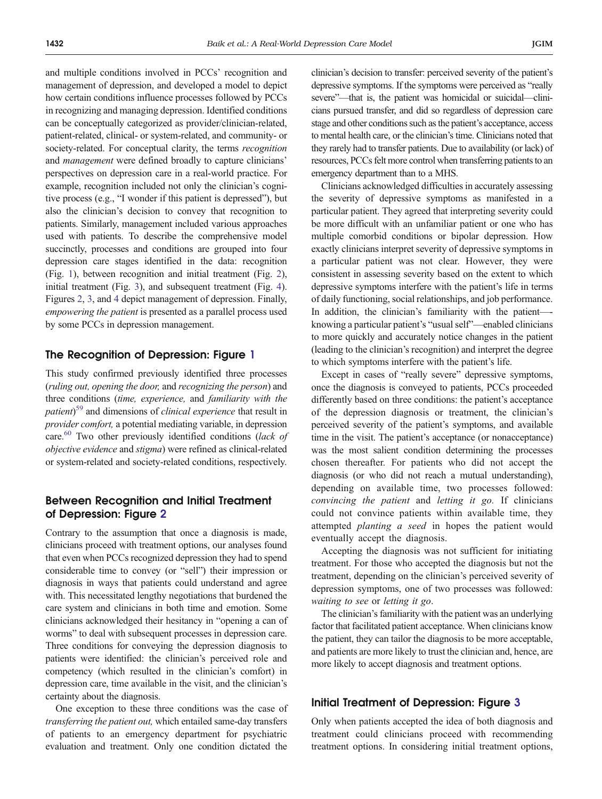and multiple conditions involved in PCCs' recognition and management of depression, and developed a model to depict how certain conditions influence processes followed by PCCs in recognizing and managing depression. Identified conditions can be conceptually categorized as provider/clinician-related, patient-related, clinical- or system-related, and community- or society-related. For conceptual clarity, the terms recognition and management were defined broadly to capture clinicians' perspectives on depression care in a real-world practice. For example, recognition included not only the clinician's cognitive process (e.g., "I wonder if this patient is depressed"), but also the clinician's decision to convey that recognition to patients. Similarly, management included various approaches used with patients. To describe the comprehensive model succinctly, processes and conditions are grouped into four depression care stages identified in the data: recognition (Fig. [1](#page-4-0)), between recognition and initial treatment (Fig. [2\)](#page-5-0), initial treatment (Fig. [3\)](#page-6-0), and subsequent treatment (Fig. [4\)](#page-7-0). Figures [2](#page-5-0), [3](#page-6-0), and [4](#page-7-0) depict management of depression. Finally, empowering the patient is presented as a parallel process used by some PCCs in depression management.

## The Recognition of Depression: Figure [1](#page-4-0)

This study confirmed previously identified three processes (ruling out, opening the door, and recognizing the person) and three conditions (time, experience, and familiarity with the patient)<sup>[59](#page-10-0)</sup> and dimensions of *clinical experience* that result in provider comfort, a potential mediating variable, in depression care.<sup>60</sup> Two other previously identified conditions (lack of objective evidence and stigma) were refined as clinical-related or system-related and society-related conditions, respectively.

# Between Recognition and Initial Treatment of Depression: Figure [2](#page-5-0)

Contrary to the assumption that once a diagnosis is made, clinicians proceed with treatment options, our analyses found that even when PCCs recognized depression they had to spend considerable time to convey (or "sell") their impression or diagnosis in ways that patients could understand and agree with. This necessitated lengthy negotiations that burdened the care system and clinicians in both time and emotion. Some clinicians acknowledged their hesitancy in "opening a can of worms" to deal with subsequent processes in depression care. Three conditions for conveying the depression diagnosis to patients were identified: the clinician's perceived role and competency (which resulted in the clinician's comfort) in depression care, time available in the visit, and the clinician's certainty about the diagnosis.

One exception to these three conditions was the case of transferring the patient out, which entailed same-day transfers of patients to an emergency department for psychiatric evaluation and treatment. Only one condition dictated the clinician's decision to transfer: perceived severity of the patient's depressive symptoms. If the symptoms were perceived as "really severe"—that is, the patient was homicidal or suicidal—clinicians pursued transfer, and did so regardless of depression care stage and other conditions such as the patient's acceptance, access to mental health care, or the clinician's time. Clinicians noted that they rarely had to transfer patients. Due to availability (or lack) of resources, PCCs felt more control when transferring patients to an emergency department than to a MHS.

Clinicians acknowledged difficulties in accurately assessing the severity of depressive symptoms as manifested in a particular patient. They agreed that interpreting severity could be more difficult with an unfamiliar patient or one who has multiple comorbid conditions or bipolar depression. How exactly clinicians interpret severity of depressive symptoms in a particular patient was not clear. However, they were consistent in assessing severity based on the extent to which depressive symptoms interfere with the patient's life in terms of daily functioning, social relationships, and job performance. In addition, the clinician's familiarity with the patient— knowing a particular patient's "usual self"—enabled clinicians to more quickly and accurately notice changes in the patient (leading to the clinician's recognition) and interpret the degree to which symptoms interfere with the patient's life.

Except in cases of "really severe" depressive symptoms, once the diagnosis is conveyed to patients, PCCs proceeded differently based on three conditions: the patient's acceptance of the depression diagnosis or treatment, the clinician's perceived severity of the patient's symptoms, and available time in the visit. The patient's acceptance (or nonacceptance) was the most salient condition determining the processes chosen thereafter. For patients who did not accept the diagnosis (or who did not reach a mutual understanding), depending on available time, two processes followed: convincing the patient and letting it go. If clinicians could not convince patients within available time, they attempted planting a seed in hopes the patient would eventually accept the diagnosis.

Accepting the diagnosis was not sufficient for initiating treatment. For those who accepted the diagnosis but not the treatment, depending on the clinician's perceived severity of depression symptoms, one of two processes was followed: waiting to see or letting it go.

The clinician's familiarity with the patient was an underlying factor that facilitated patient acceptance. When clinicians know the patient, they can tailor the diagnosis to be more acceptable, and patients are more likely to trust the clinician and, hence, are more likely to accept diagnosis and treatment options.

### Initial Treatment of Depression: Figure [3](#page-6-0)

Only when patients accepted the idea of both diagnosis and treatment could clinicians proceed with recommending treatment options. In considering initial treatment options,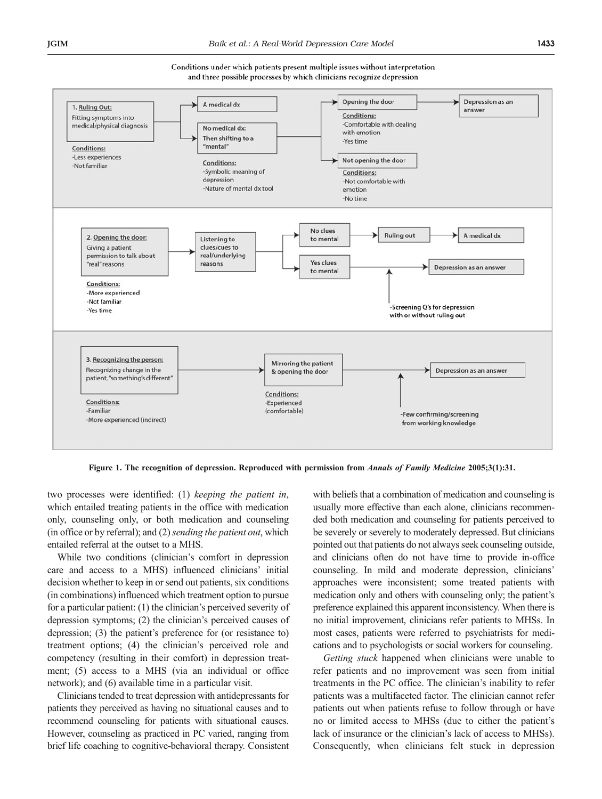Conditions under which patients present multiple issues without interpretation and three possible processes by which clinicians recognize depression

<span id="page-4-0"></span>

Figure 1. The recognition of depression. Reproduced with permission from Annals of Family Medicine 2005;3(1):31.

two processes were identified: (1) keeping the patient in, which entailed treating patients in the office with medication only, counseling only, or both medication and counseling (in office or by referral); and (2) sending the patient out, which entailed referral at the outset to a MHS.

While two conditions (clinician's comfort in depression care and access to a MHS) influenced clinicians' initial decision whether to keep in or send out patients, six conditions (in combinations) influenced which treatment option to pursue for a particular patient: (1) the clinician's perceived severity of depression symptoms; (2) the clinician's perceived causes of depression; (3) the patient's preference for (or resistance to) treatment options; (4) the clinician's perceived role and competency (resulting in their comfort) in depression treatment; (5) access to a MHS (via an individual or office network); and (6) available time in a particular visit.

Clinicians tended to treat depression with antidepressants for patients they perceived as having no situational causes and to recommend counseling for patients with situational causes. However, counseling as practiced in PC varied, ranging from brief life coaching to cognitive-behavioral therapy. Consistent with beliefs that a combination of medication and counseling is usually more effective than each alone, clinicians recommended both medication and counseling for patients perceived to be severely or severely to moderately depressed. But clinicians pointed out that patients do not always seek counseling outside, and clinicians often do not have time to provide in-office counseling. In mild and moderate depression, clinicians' approaches were inconsistent; some treated patients with medication only and others with counseling only; the patient's preference explained this apparent inconsistency. When there is no initial improvement, clinicians refer patients to MHSs. In most cases, patients were referred to psychiatrists for medications and to psychologists or social workers for counseling.

Getting stuck happened when clinicians were unable to refer patients and no improvement was seen from initial treatments in the PC office. The clinician's inability to refer patients was a multifaceted factor. The clinician cannot refer patients out when patients refuse to follow through or have no or limited access to MHSs (due to either the patient's lack of insurance or the clinician's lack of access to MHSs). Consequently, when clinicians felt stuck in depression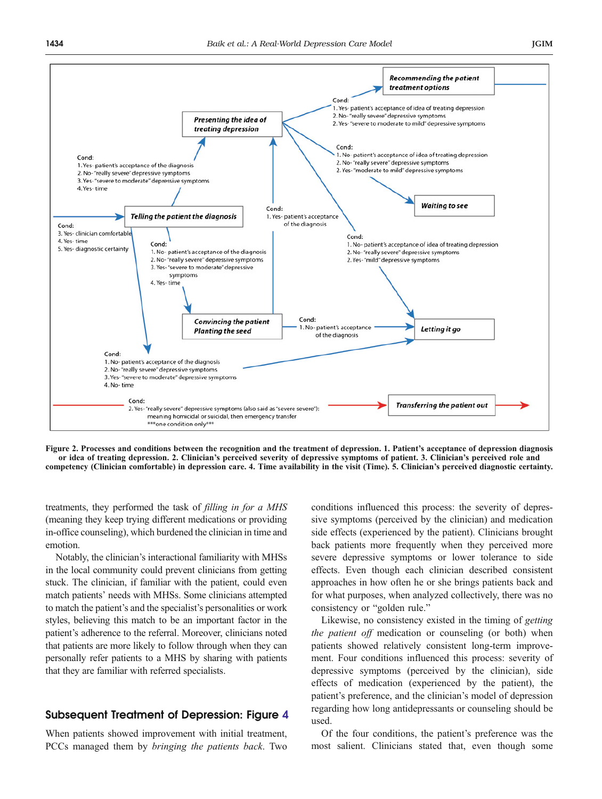<span id="page-5-0"></span>

Figure 2. Processes and conditions between the recognition and the treatment of depression. 1. Patient's acceptance of depression diagnosis or idea of treating depression. 2. Clinician's perceived severity of depressive symptoms of patient. 3. Clinician's perceived role and competency (Clinician comfortable) in depression care. 4. Time availability in the visit (Time). 5. Clinician's perceived diagnostic certainty.

treatments, they performed the task of filling in for a MHS (meaning they keep trying different medications or providing in-office counseling), which burdened the clinician in time and emotion.

Notably, the clinician's interactional familiarity with MHSs in the local community could prevent clinicians from getting stuck. The clinician, if familiar with the patient, could even match patients' needs with MHSs. Some clinicians attempted to match the patient's and the specialist's personalities or work styles, believing this match to be an important factor in the patient's adherence to the referral. Moreover, clinicians noted that patients are more likely to follow through when they can personally refer patients to a MHS by sharing with patients that they are familiar with referred specialists.

# Subsequent Treatment of Depression: Figure [4](#page-7-0)

When patients showed improvement with initial treatment, PCCs managed them by bringing the patients back. Two conditions influenced this process: the severity of depressive symptoms (perceived by the clinician) and medication side effects (experienced by the patient). Clinicians brought back patients more frequently when they perceived more severe depressive symptoms or lower tolerance to side effects. Even though each clinician described consistent approaches in how often he or she brings patients back and for what purposes, when analyzed collectively, there was no consistency or "golden rule."

Likewise, no consistency existed in the timing of getting the patient off medication or counseling (or both) when patients showed relatively consistent long-term improvement. Four conditions influenced this process: severity of depressive symptoms (perceived by the clinician), side effects of medication (experienced by the patient), the patient's preference, and the clinician's model of depression regarding how long antidepressants or counseling should be used.

Of the four conditions, the patient's preference was the most salient. Clinicians stated that, even though some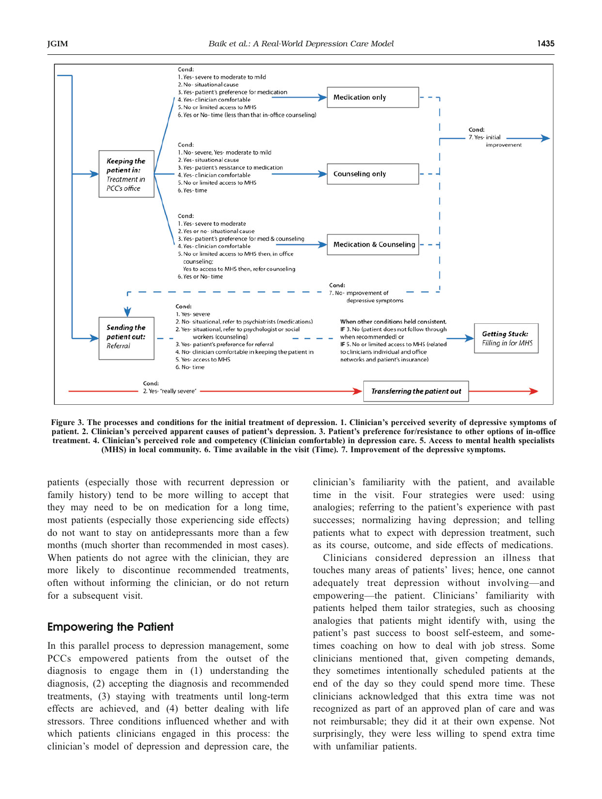<span id="page-6-0"></span>

Figure 3. The processes and conditions for the initial treatment of depression. 1. Clinician's perceived severity of depressive symptoms of patient. 2. Clinician's perceived apparent causes of patient's depression. 3. Patient's preference for/resistance to other options of in-office treatment. 4. Clinician's perceived role and competency (Clinician comfortable) in depression care. 5. Access to mental health specialists (MHS) in local community. 6. Time available in the visit (Time). 7. Improvement of the depressive symptoms.

patients (especially those with recurrent depression or family history) tend to be more willing to accept that they may need to be on medication for a long time, most patients (especially those experiencing side effects) do not want to stay on antidepressants more than a few months (much shorter than recommended in most cases). When patients do not agree with the clinician, they are more likely to discontinue recommended treatments, often without informing the clinician, or do not return for a subsequent visit.

# Empowering the Patient

In this parallel process to depression management, some PCCs empowered patients from the outset of the diagnosis to engage them in (1) understanding the diagnosis, (2) accepting the diagnosis and recommended treatments, (3) staying with treatments until long-term effects are achieved, and (4) better dealing with life stressors. Three conditions influenced whether and with which patients clinicians engaged in this process: the clinician's model of depression and depression care, the clinician's familiarity with the patient, and available time in the visit. Four strategies were used: using analogies; referring to the patient's experience with past successes; normalizing having depression; and telling patients what to expect with depression treatment, such as its course, outcome, and side effects of medications.

Clinicians considered depression an illness that touches many areas of patients' lives; hence, one cannot adequately treat depression without involving—and empowering—the patient. Clinicians' familiarity with patients helped them tailor strategies, such as choosing analogies that patients might identify with, using the patient's past success to boost self-esteem, and sometimes coaching on how to deal with job stress. Some clinicians mentioned that, given competing demands, they sometimes intentionally scheduled patients at the end of the day so they could spend more time. These clinicians acknowledged that this extra time was not recognized as part of an approved plan of care and was not reimbursable; they did it at their own expense. Not surprisingly, they were less willing to spend extra time with unfamiliar patients.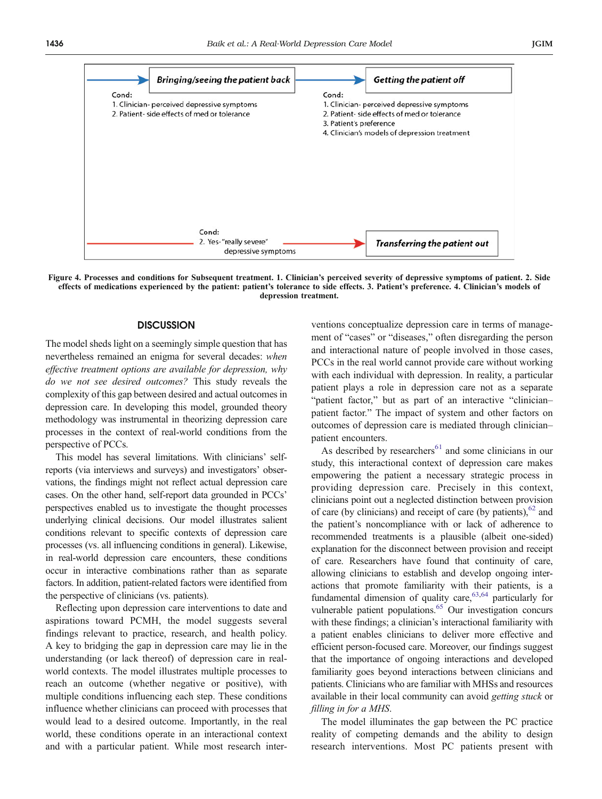<span id="page-7-0"></span>

Figure 4. Processes and conditions for Subsequent treatment. 1. Clinician's perceived severity of depressive symptoms of patient. 2. Side effects of medications experienced by the patient: patient's tolerance to side effects. 3. Patient's preference. 4. Clinician's models of depression treatment.

### **DISCUSSION**

The model sheds light on a seemingly simple question that has nevertheless remained an enigma for several decades: when effective treatment options are available for depression, why do we not see desired outcomes? This study reveals the complexity of this gap between desired and actual outcomes in depression care. In developing this model, grounded theory methodology was instrumental in theorizing depression care processes in the context of real-world conditions from the perspective of PCCs.

This model has several limitations. With clinicians' selfreports (via interviews and surveys) and investigators' observations, the findings might not reflect actual depression care cases. On the other hand, self-report data grounded in PCCs' perspectives enabled us to investigate the thought processes underlying clinical decisions. Our model illustrates salient conditions relevant to specific contexts of depression care processes (vs. all influencing conditions in general). Likewise, in real-world depression care encounters, these conditions occur in interactive combinations rather than as separate factors. In addition, patient-related factors were identified from the perspective of clinicians (vs. patients).

Reflecting upon depression care interventions to date and aspirations toward PCMH, the model suggests several findings relevant to practice, research, and health policy. A key to bridging the gap in depression care may lie in the understanding (or lack thereof) of depression care in realworld contexts. The model illustrates multiple processes to reach an outcome (whether negative or positive), with multiple conditions influencing each step. These conditions influence whether clinicians can proceed with processes that would lead to a desired outcome. Importantly, in the real world, these conditions operate in an interactional context and with a particular patient. While most research interventions conceptualize depression care in terms of management of "cases" or "diseases," often disregarding the person and interactional nature of people involved in those cases, PCCs in the real world cannot provide care without working with each individual with depression. In reality, a particular patient plays a role in depression care not as a separate "patient factor," but as part of an interactive "clinician– patient factor." The impact of system and other factors on outcomes of depression care is mediated through clinician– patient encounters.

As described by researchers<sup> $61$ </sup> and some clinicians in our study, this interactional context of depression care makes empowering the patient a necessary strategic process in providing depression care. Precisely in this context, clinicians point out a neglected distinction between provision of care (by clinicians) and receipt of care (by patients),  $62$  and the patient's noncompliance with or lack of adherence to recommended treatments is a plausible (albeit one-sided) explanation for the disconnect between provision and receipt of care. Researchers have found that continuity of care, allowing clinicians to establish and develop ongoing interactions that promote familiarity with their patients, is a fundamental dimension of quality care,  $63,64$  particularly for vulnerable patient populations[.65](#page-10-0) Our investigation concurs with these findings; a clinician's interactional familiarity with a patient enables clinicians to deliver more effective and efficient person-focused care. Moreover, our findings suggest that the importance of ongoing interactions and developed familiarity goes beyond interactions between clinicians and patients. Clinicians who are familiar with MHSs and resources available in their local community can avoid getting stuck or filling in for a MHS.

The model illuminates the gap between the PC practice reality of competing demands and the ability to design research interventions. Most PC patients present with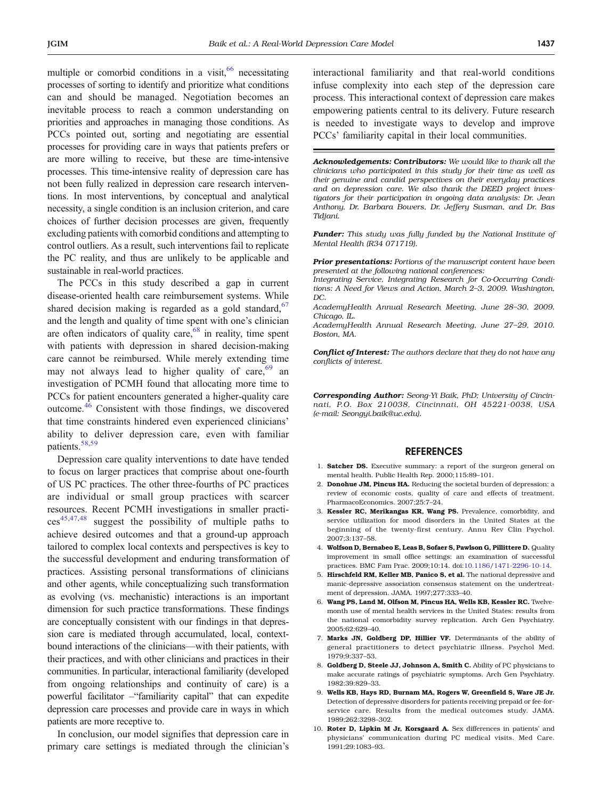<span id="page-8-0"></span>multiple or comorbid conditions in a visit,  $66$  necessitating processes of sorting to identify and prioritize what conditions can and should be managed. Negotiation becomes an inevitable process to reach a common understanding on priorities and approaches in managing those conditions. As PCCs pointed out, sorting and negotiating are essential processes for providing care in ways that patients prefers or are more willing to receive, but these are time-intensive processes. This time-intensive reality of depression care has not been fully realized in depression care research interventions. In most interventions, by conceptual and analytical necessity, a single condition is an inclusion criterion, and care choices of further decision processes are given, frequently excluding patients with comorbid conditions and attempting to control outliers. As a result, such interventions fail to replicate the PC reality, and thus are unlikely to be applicable and sustainable in real-world practices.

The PCCs in this study described a gap in current disease-oriented health care reimbursement systems. While shared decision making is regarded as a gold standard,  $67$ and the length and quality of time spent with one's clinician are often indicators of quality care, $68$  in reality, time spent with patients with depression in shared decision-making care cannot be reimbursed. While merely extending time may not always lead to higher quality of care,  $69$  an investigation of PCMH found that allocating more time to PCCs for patient encounters generated a higher-quality care outcome.[46](#page-9-0) Consistent with those findings, we discovered that time constraints hindered even experienced clinicians' ability to deliver depression care, even with familiar patients.[58](#page-9-0)[,59](#page-10-0)

Depression care quality interventions to date have tended to focus on larger practices that comprise about one-fourth of US PC practices. The other three-fourths of PC practices are individual or small group practices with scarcer resources. Recent PCMH investigations in smaller practices[45,47,48](#page-9-0) suggest the possibility of multiple paths to achieve desired outcomes and that a ground-up approach tailored to complex local contexts and perspectives is key to the successful development and enduring transformation of practices. Assisting personal transformations of clinicians and other agents, while conceptualizing such transformation as evolving (vs. mechanistic) interactions is an important dimension for such practice transformations. These findings are conceptually consistent with our findings in that depression care is mediated through accumulated, local, contextbound interactions of the clinicians—with their patients, with their practices, and with other clinicians and practices in their communities. In particular, interactional familiarity (developed from ongoing relationships and continuity of care) is a powerful facilitator –"familiarity capital" that can expedite depression care processes and provide care in ways in which patients are more receptive to.

In conclusion, our model signifies that depression care in primary care settings is mediated through the clinician's interactional familiarity and that real-world conditions infuse complexity into each step of the depression care process. This interactional context of depression care makes empowering patients central to its delivery. Future research is needed to investigate ways to develop and improve PCCs' familiarity capital in their local communities.

Acknowledgements: Contributors: We would like to thank all the clinicians who participated in this study for their time as well as their genuine and candid perspectives on their everyday practices and on depression care. We also thank the DEED project investigators for their participation in ongoing data analysis: Dr. Jean Anthony, Dr. Barbara Bowers, Dr. Jeffery Susman, and Dr. Bas Tidjani.

Funder: This study was fully funded by the National Institute of Mental Health (R34 071719).

Prior presentations: Portions of the manuscript content have been presented at the following national conferences:

Integrating Service, Integrating Research for Co-Occurring Conditions: A Need for Views and Action, March 2–3, 2009. Washington, DC.

AcademyHealth Annual Research Meeting, June 28–30, 2009. Chicago, IL.

AcademyHealth Annual Research Meeting, June 27–29, 2010. Boston, MA.

**Conflict of Interest:** The authors declare that they do not have any conflicts of interest.

Corresponding Author: Seong-Yi Baik, PhD; University of Cincinnati, P.O. Box 210038, Cincinnati, OH 45221-0038, USA (e-mail: Seongyi.baik@uc.edu).

#### **REFERENCES**

- 1. Satcher DS. Executive summary: a report of the surgeon general on mental health. Public Health Rep. 2000;115:89–101.
- 2. Donohue JM, Pincus HA. Reducing the societal burden of depression: a review of economic costs, quality of care and effects of treatment. PharmacoEconomics. 2007;25:7–24.
- 3. Kessler RC, Merikangas KR, Wang PS. Prevalence, comorbidity, and service utilization for mood disorders in the United States at the beginning of the twenty-first century. Annu Rev Clin Psychol. 2007;3:137–58.
- 4. Wolfson D, Bernabeo E, Leas B, Sofaer S, Pawlson G, Pillittere D. Quality improvement in small office settings: an examination of successful practices. BMC Fam Prac. 2009;10:14. doi[:10.1186/1471-2296-10-14](http://dx.doi.org/10.1186/1471-2296-10-14).
- 5. Hirschfeld RM, Keller MB, Panico S, et al. The national depressive and manic-depressive association consensus statement on the undertreatment of depression. JAMA. 1997;277:333–40.
- 6. Wang PS, Land M, Olfson M, Pincus HA, Wells KB, Kessler RC. Twelvemonth use of mental health services in the United States: results from the national comorbidity survey replication. Arch Gen Psychiatry. 2005;62:629–40.
- 7. Marks JN, Goldberg DP, Hillier VF. Determinants of the ability of general practitioners to detect psychiatric illness. Psychol Med. 1979;9:337–53.
- 8. Goldberg D, Steele JJ, Johnson A, Smith C. Ability of PC physicians to make accurate ratings of psychiatric symptoms. Arch Gen Psychiatry. 1982;39:829–33.
- 9. Wells KB, Hays RD, Burnam MA, Rogers W, Greenfield S, Ware JE Jr. Detection of depressive disorders for patients receiving prepaid or fee-forservice care. Results from the medical outcomes study. JAMA. 1989;262:3298–302.
- 10. Roter D, Lipkin M Jr, Korsgaard A. Sex differences in patients' and physicians' communication during PC medical visits. Med Care. 1991;29:1083–93.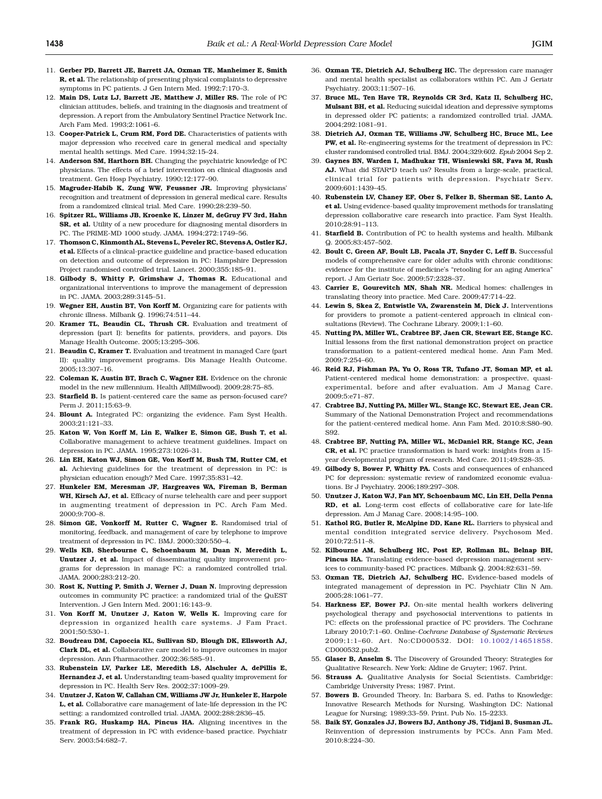- <span id="page-9-0"></span>11. Gerber PD, Barrett JE, Barrett JA, Oxman TE, Manheimer E, Smith R, et al. The relationship of presenting physical complaints to depressive symptoms in PC patients. J Gen Intern Med. 1992;7:170–3.
- 12. Main DS, Lutz LJ, Barrett JE, Matthew J, Miller RS. The role of PC clinician attitudes, beliefs, and training in the diagnosis and treatment of depression. A report from the Ambulatory Sentinel Practice Network Inc. Arch Fam Med. 1993;2:1061–6.
- 13. Cooper-Patrick L, Crum RM, Ford DE. Characteristics of patients with major depression who received care in general medical and specialty mental health settings. Med Care. 1994;32:15–24.
- 14. **Anderson SM, Harthorn BH.** Changing the psychiatric knowledge of PC physicians. The effects of a brief intervention on clinical diagnosis and treatment. Gen Hosp Psychiatry. 1990;12:177–90.
- 15. Magruder-Habib K, Zung WW, Feussner JR. Improving physicians' recognition and treatment of depression in general medical care. Results from a randomized clinical trial. Med Care. 1990;28:239–50.
- 16. Spitzer RL, Williams JB, Kroenke K, Linzer M, deGruy FV 3rd, Hahn SR, et al. Utility of a new procedure for diagnosing mental disorders in PC. The PRIME-MD 1000 study. JAMA. 1994;272:1749–56.
- 17. Thomson C, Kinmonth AL, Stevens L, Peveler RC, Stevens A, Ostler KJ, et al. Effects of a clinical-practice guideline and practice-based education on detection and outcome of depression in PC: Hampshire Depression Project randomised controlled trial. Lancet. 2000;355:185–91.
- 18. Gilbody S, Whitty P, Grimshaw J, Thomas R. Educational and organizational interventions to improve the management of depression in PC. JAMA. 2003;289:3145–51.
- 19. Wegner EH, Austin BT, Von Korff M. Organizing care for patients with chronic illness. Milbank Q. 1996;74:511–44.
- 20. Kramer TL, Beaudin CL, Thrush CR. Evaluation and treatment of depression (part I): benefits for patients, providers, and payors. Dis Manage Health Outcome. 2005;13:295–306.
- 21. Beaudin C, Kramer T. Evaluation and treatment in managed Care (part II): quality improvement programs. Dis Manage Health Outcome. 2005;13:307–16.
- 22. Coleman K, Austin BT, Brach C, Wagner EH. Evidence on the chronic model in the new millennium. Health Aff(Millwood). 2009;28:75–85.
- 23. Starfield B. Is patient-centered care the same as person-focused care? Perm J. 2011;15:63–9.
- 24. Blount A. Integrated PC: organizing the evidence. Fam Syst Health. 2003;21:121–33.
- 25. Katon W, Von Korff M, Lin E, Walker E, Simon GE, Bush T, et al. Collaborative management to achieve treatment guidelines. Impact on depression in PC. JAMA. 1995;273:1026–31.
- 26. Lin EH, Katon WJ, Simon GE, Von Korff M, Bush TM, Rutter CM, et al. Achieving guidelines for the treatment of depression in PC: is physician education enough? Med Care. 1997;35:831–42.
- 27. Hunkeler EM, Meresman JF, Hargreaves WA, Fireman B, Berman WH, Kirsch AJ, et al. Efficacy of nurse telehealth care and peer support in augmenting treatment of depression in PC. Arch Fam Med. 2000;9:700–8.
- 28. Simon GE, Vonkorff M, Rutter C, Wagner E. Randomised trial of monitoring, feedback, and management of care by telephone to improve treatment of depression in PC. BMJ. 2000;320:550–4.
- 29. Wells KB, Sherbourne C, Schoenbaum M, Duan N, Meredith L, Unutzer J, et al. Impact of disseminating quality improvement programs for depression in manage PC: a randomized controlled trial. JAMA. 2000;283:212–20.
- 30. Rost K, Nutting P, Smith J, Werner J, Duan N. Improving depression outcomes in community PC practice: a randomized trial of the QuEST Intervention. J Gen Intern Med. 2001;16:143–9.
- 31. Von Korff M, Unutzer J, Katon W, Wells K. Improving care for depression in organized health care systems. J Fam Pract. 2001;50:530–1.
- 32. Boudreau DM, Capoccia KL, Sullivan SD, Blough DK, Ellsworth AJ, Clark DL, et al. Collaborative care model to improve outcomes in major depression. Ann Pharmacother. 2002;36:585–91.
- 33. Rubenstein LV, Parker LE, Meredith LS, Alschuler A, dePillis E, Hernandez J, et al. Understanding team-based quality improvement for depression in PC. Health Serv Res. 2002;37:1009–29.
- 34. Unutzer J, Katon W, Callahan CM, Williams JW Jr, Hunkeler E, Harpole L, et al. Collaborative care management of late-life depression in the PC setting: a randomized controlled trial. JAMA. 2002;288:2836–45.
- 35. Frank RG, Huskamp HA, Pincus HA. Aligning incentives in the treatment of depression in PC with evidence-based practice. Psychiatr Serv. 2003;54:682–7.
- 36. Oxman TE, Dietrich AJ, Schulberg HC. The depression care manager and mental health specialist as collaborators within PC. Am J Geriatr Psychiatry. 2003;11:507–16.
- 37. Bruce ML, Ten Have TR, Reynolds CR 3rd, Katz II, Schulberg HC, Mulsant BH, et al. Reducing suicidal ideation and depressive symptoms in depressed older PC patients; a randomized controlled trial. JAMA. 2004;292:1081–91.
- 38. Dietrich AJ, Oxman TE, Williams JW, Schulberg HC, Bruce ML, Lee PW, et al. Re-engineering systems for the treatment of depression in PC: cluster randomised controlled trial. BMJ. 2004;329:602. Epub 2004 Sep 2.
- 39. Gaynes BN, Warden I, Madhukar TH, Wisniewski SR, Fava M, Rush AJ. What did STAR\*D teach us? Results from a large-scale, practical, clinical trial for patients with depression. Psychiatr Serv. 2009;601:1439–45.
- 40. Rubenstein LV, Chaney EF, Ober S, Felker B, Sherman SE, Lanto A, et al. Using evidence-based quality improvement methods for translating depression collaborative care research into practice. Fam Syst Health. 2010;28:91–113.
- 41. Starfield B. Contribution of PC to health systems and health. Milbank Q. 2005;83:457–502.
- 42. Boult C, Green AF, Boult LB, Pacala JT, Snyder C, Leff B. Successful models of comprehensive care for older adults with chronic conditions: evidence for the institute of medicine's "retooling for an aging America" report. J Am Geriatr Soc. 2009;57:2328–37.
- 43. Carrier E, Gourevitch MN, Shah NR. Medical homes: challenges in translating theory into practice. Med Care. 2009;47:714–22.
- 44. Lewin S, Skea Z, Entwistle VA, Zwarenstein M, Dick J. Interventions for providers to promote a patient-centered approach in clinical consultations (Review). The Cochrane Library. 2009;1:1–60.
- 45. Nutting PA, Miller WL, Crabtree BF, Jaen CR, Stewart EE, Stange KC. Initial lessons from the first national demonstration project on practice transformation to a patient-centered medical home. Ann Fam Med. 2009;7:254–60.
- 46. Reid RJ, Fishman PA, Yu O, Ross TR, Tufano JT, Soman MP, et al. Patient-centered medical home demonstration: a prospective, quasiexperimental, before and after evaluation. Am J Manag Care. 2009;5:e71–87.
- 47. Crabtree BJ, Nutting PA, Miller WL, Stange KC, Stewart EE, Jean CR. Summary of the National Demonstration Project and recommendations for the patient-centered medical home. Ann Fam Med. 2010;8:S80–90. S92.
- 48. Crabtree BF, Nutting PA, Miller WL, McDaniel RR, Stange KC, Jean CR, et al. PC practice transformation is hard work: insights from a 15 year developmental program of research. Med Care. 2011;49:S28–35.
- 49. Gilbody S, Bower P, Whitty PA. Costs and consequences of enhanced PC for depression: systematic review of randomized economic evaluations. Br J Psychiatry. 2006;189:297–308.
- 50. Unutzer J, Katon WJ, Fan MY, Schoenbaum MC, Lin EH, Della Penna RD, et al. Long-term cost effects of collaborative care for late-life depression. Am J Manag Care. 2008;14:95–100.
- 51. Kathol RG, Butler R, McAlpine DD, Kane RL. Barriers to physical and mental condition integrated service delivery. Psychosom Med. 2010;72:511–8.
- 52. Kilbourne AM, Schulberg HC, Post EP, Rollman BL, Belnap BH, Pincus HA. Translating evidence-based depression management services to community-based PC practices. Milbank Q. 2004;82:631–59.
- 53. Oxman TE, Dietrich AJ, Schulberg HC. Evidence-based models of integrated management of depression in PC. Psychiatr Clin N Am. 2005;28:1061–77.
- 54. Harkness EF, Bower PJ. On-site mental health workers delivering psychological therapy and psychosocial interventions to patients in PC: effects on the professional practice of PC providers. The Cochrane Library 2010;7:1–60. Online-Cochrane Database of Systematic Reviews 2009;1:1–60. Art. No:CD000532. DOI: [10.1002/14651858](http://dx.doi.org/10.1002/14651858). CD000532.pub2.
- 55. Glaser B, Anselm S. The Discovery of Grounded Theory: Strategies for Qualitative Research. New York: Aldine de Gruyter; 1967. Print.
- 56. Strauss A. Qualitative Analysis for Social Scientists. Cambridge: Cambridge University Press; 1987. Print.
- 57. Bowers B. Grounded Theory. In: Barbara S, ed. Paths to Knowledge: Innovative Research Methods for Nursing. Washington DC: National League for Nursing; 1989:33–59. Print. Pub No. 15–2233.
- 58. Baik SY, Gonzales JJ, Bowers BJ, Anthony JS, Tidjani B, Susman JL. Reinvention of depression instruments by PCCs. Ann Fam Med. 2010;8:224–30.